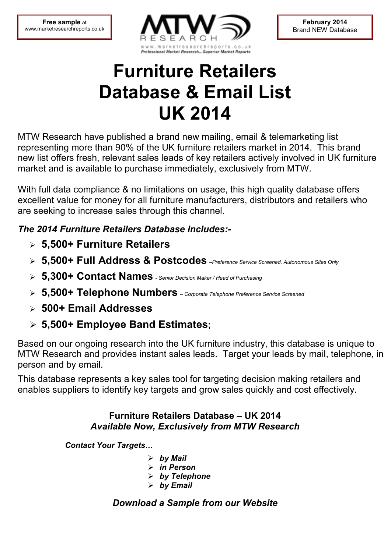

**February 2014** Brand NEW Database

# **Furniture Retailers Database & Email List UK 2014**

MTW Research have published a brand new mailing, email & telemarketing list representing more than 90% of the UK furniture retailers market in 2014. This brand new list offers fresh, relevant sales leads of key retailers actively involved in UK furniture market and is available to purchase immediately, exclusively from MTW.

With full data compliance & no limitations on usage, this high quality database offers excellent value for money for all furniture manufacturers, distributors and retailers who are seeking to increase sales through this channel.

## *The 2014 Furniture Retailers Database Includes:-*

- **5,500+ Furniture Retailers**
- **5,500+ Full Address & Postcodes** *–Preference Service Screened, Autonomous Sites Only*
- **5,300+ Contact Names**  *Senior Decision Maker / Head of Purchasing*
- **5,500+ Telephone Numbers**  *Corporate Telephone Preference Service Screened*
- **500+ Email Addresses**
- **5,500+ Employee Band Estimates;**

Based on our ongoing research into the UK furniture industry, this database is unique to MTW Research and provides instant sales leads. Target your leads by mail, telephone, in person and by email.

This database represents a key sales tool for targeting decision making retailers and enables suppliers to identify key targets and grow sales quickly and cost effectively.

#### **Furniture Retailers Database – UK 2014**  *Available Now, Exclusively from MTW Research*

**Contact Your Targets...** 

- *by Mail*
- *in Person*
- *by Telephone*
- *by Email*

## *Download a Sample from our Website*